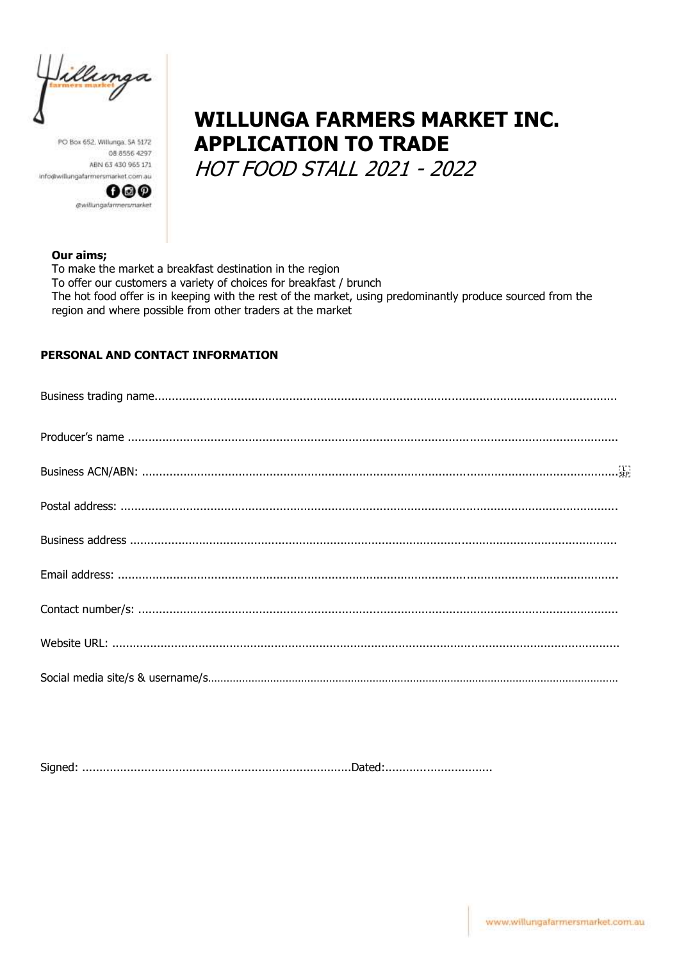illunga

PO Box 652, Willunga, SA 5172 08 8556 4297 ABN 63 430 965 171 info@willungafarmersmarket.com.au



# **WILLUNGA FARMERS MARKET INC. APPLICATION TO TRADE**

**HOT FOOD STALL 2021 - 2022** 

#### Our aims;

To make the market a breakfast destination in the region To offer our customers a variety of choices for breakfast / brunch The hot food offer is in keeping with the rest of the market, using predominantly produce sourced from the region and where possible from other traders at the market

#### PERSONAL AND CONTACT INFORMATION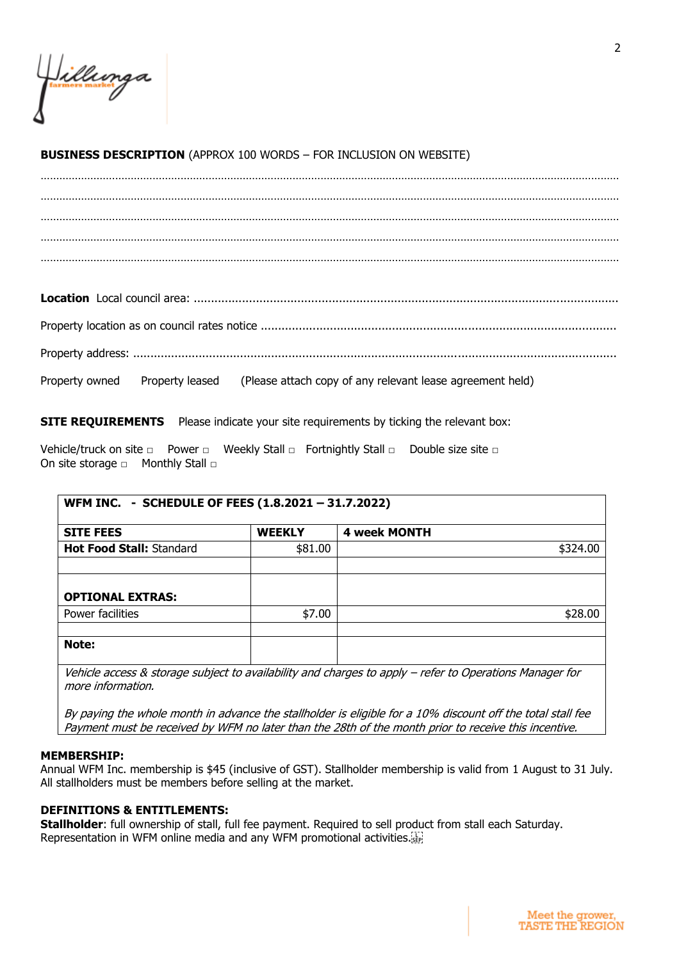#### **BUSINESS DESCRIPTION** (APPROX 100 WORDS – FOR INCLUSION ON WEBSITE)

…………………………………………………………………………………………………………………………………………………………………… …………………………………………………………………………………………………………………………………………………………………… …………………………………………………………………………………………………………………………………………………………………… …………………………………………………………………………………………………………………………………………………………………… ……………………………………………………………………………………………………………………………………………………………………

**Location** Local council area: ........................................................................................................................... Property location as on council rates notice ....................................................................................................... Property address: ............................................................................................................................................ Property owned Property leased (Please attach copy of any relevant lease agreement held)

**SITE REQUIREMENTS** Please indicate your site requirements by ticking the relevant box:

Vehicle/truck on site □ Power □ Weekly Stall □ Fortnightly Stall □ Double size site □ On site storage □ Monthly Stall □

| WFM INC. - SCHEDULE OF FEES (1.8.2021 - 31.7.2022) |               |                     |          |
|----------------------------------------------------|---------------|---------------------|----------|
| <b>SITE FEES</b>                                   | <b>WEEKLY</b> | <b>4 week MONTH</b> |          |
| Hot Food Stall: Standard                           | \$81.00       |                     | \$324.00 |
|                                                    |               |                     |          |
|                                                    |               |                     |          |
| <b>OPTIONAL EXTRAS:</b>                            |               |                     |          |
| Power facilities                                   | \$7.00        |                     | \$28.00  |
|                                                    |               |                     |          |
| Note:                                              |               |                     |          |
|                                                    |               |                     |          |

Vehicle access & storage subject to availability and charges to apply – refer to Operations Manager for more information.

By paying the whole month in advance the stallholder is eligible for a 10% discount off the total stall fee Payment must be received by WFM no later than the 28th of the month prior to receive this incentive.

#### **MEMBERSHIP:**

Annual WFM Inc. membership is \$45 (inclusive of GST). Stallholder membership is valid from 1 August to 31 July. All stallholders must be members before selling at the market.

#### **DEFINITIONS & ENTITLEMENTS:**

**Stallholder**: full ownership of stall, full fee payment. Required to sell product from stall each Saturday. Representation in WFM online media and any WFM promotional activities.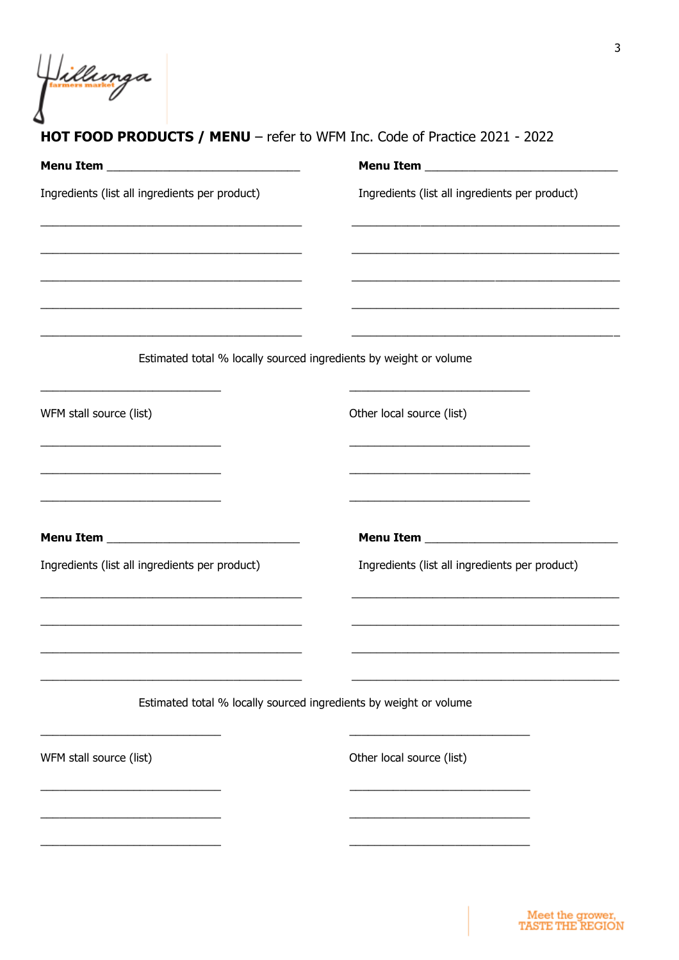Villunga

### HOT FOOD PRODUCTS / MENU - refer to WFM Inc. Code of Practice 2021 - 2022

| Ingredients (list all ingredients per product)                                                                                                                                                                                                                                                                                                                        | Ingredients (list all ingredients per product)                                                                                                                                                                                                |
|-----------------------------------------------------------------------------------------------------------------------------------------------------------------------------------------------------------------------------------------------------------------------------------------------------------------------------------------------------------------------|-----------------------------------------------------------------------------------------------------------------------------------------------------------------------------------------------------------------------------------------------|
|                                                                                                                                                                                                                                                                                                                                                                       |                                                                                                                                                                                                                                               |
| <u> 1989 - Johann John Stone, markin sanadi a shekara ta 1989 - An tsara tsara tsara tsara tsara tsara tsara tsa</u>                                                                                                                                                                                                                                                  | <u> 1989 - Johann Harry Harry Harry Harry Harry Harry Harry Harry Harry Harry Harry Harry Harry Harry Harry Harry</u><br><u> 1989 - Johann Stoff, amerikansk politiker (d. 1989)</u>                                                          |
|                                                                                                                                                                                                                                                                                                                                                                       | Estimated total % locally sourced ingredients by weight or volume                                                                                                                                                                             |
| WFM stall source (list)                                                                                                                                                                                                                                                                                                                                               | Other local source (list)                                                                                                                                                                                                                     |
| <u> 1989 - Johann Barbara, martin da kasar Amerikaan kasar dan bahasa dalam kasar dalam kasar dalam kasar dalam </u><br><u> 1989 - Johann Barbara, martin amerikan basar dan berasal dalam basa dalam basar dalam basar dalam basa dalam</u><br><u> 1989 - Johann Barbara, martin amerikan basar dan berasal dan berasal dalam basar dalam basar dalam basar dala</u> | <u> 1989 - Johann John Stone, markin amerikan basar dan berkembang di banyak di banyak di banyak di banyak di ba</u><br><u> 1989 - Johann Barbara, martin amerikan basar dan berasal dalam berasal dalam basar dalam basar dalam basar da</u> |
|                                                                                                                                                                                                                                                                                                                                                                       |                                                                                                                                                                                                                                               |
| Ingredients (list all ingredients per product)                                                                                                                                                                                                                                                                                                                        | Ingredients (list all ingredients per product)                                                                                                                                                                                                |
|                                                                                                                                                                                                                                                                                                                                                                       | <u> 1980 - Jan James James James James James James James James James James James James James James James James J</u>                                                                                                                          |
|                                                                                                                                                                                                                                                                                                                                                                       | Estimated total % locally sourced ingredients by weight or volume                                                                                                                                                                             |
| WFM stall source (list)                                                                                                                                                                                                                                                                                                                                               | Other local source (list)                                                                                                                                                                                                                     |
|                                                                                                                                                                                                                                                                                                                                                                       |                                                                                                                                                                                                                                               |
|                                                                                                                                                                                                                                                                                                                                                                       |                                                                                                                                                                                                                                               |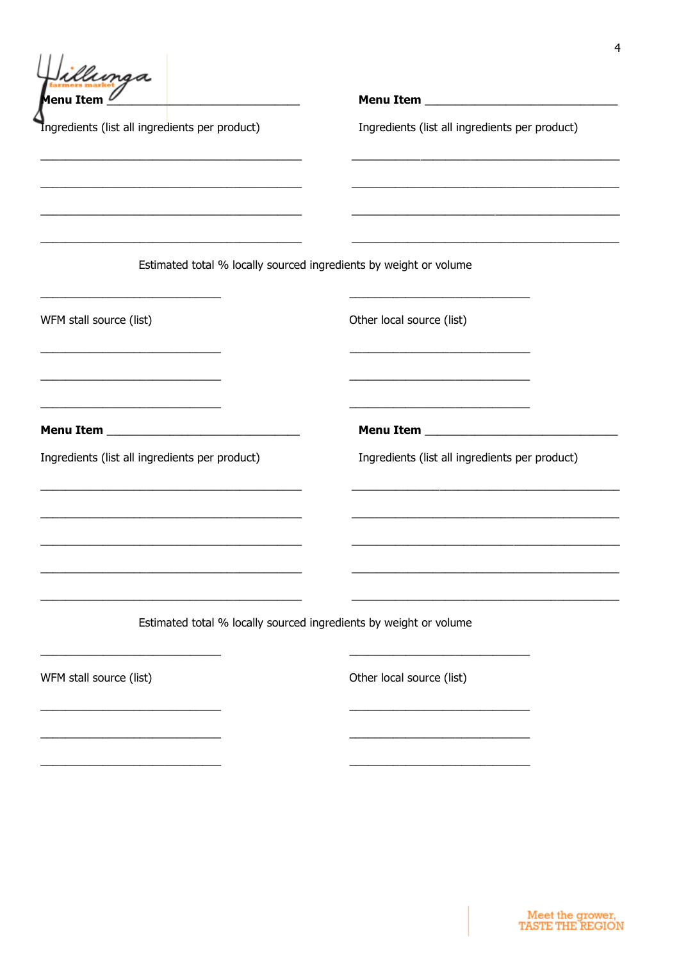illunga Menu Item  $\ell$ 

Ingredients (list all ingredients per product)

Ingredients (list all ingredients per product)

Estimated total % locally sourced ingredients by weight or volume

WFM stall source (list)

Other local source (list)

**Menu Item \_\_\_\_\_\_\_\_\_\_\_\_\_\_**\_\_\_\_

Ingredients (list all ingredients per product)

Menu Item \_\_\_\_\_\_\_\_\_\_\_

Ingredients (list all ingredients per product)

Estimated total % locally sourced ingredients by weight or volume

WFM stall source (list)

Other local source (list)